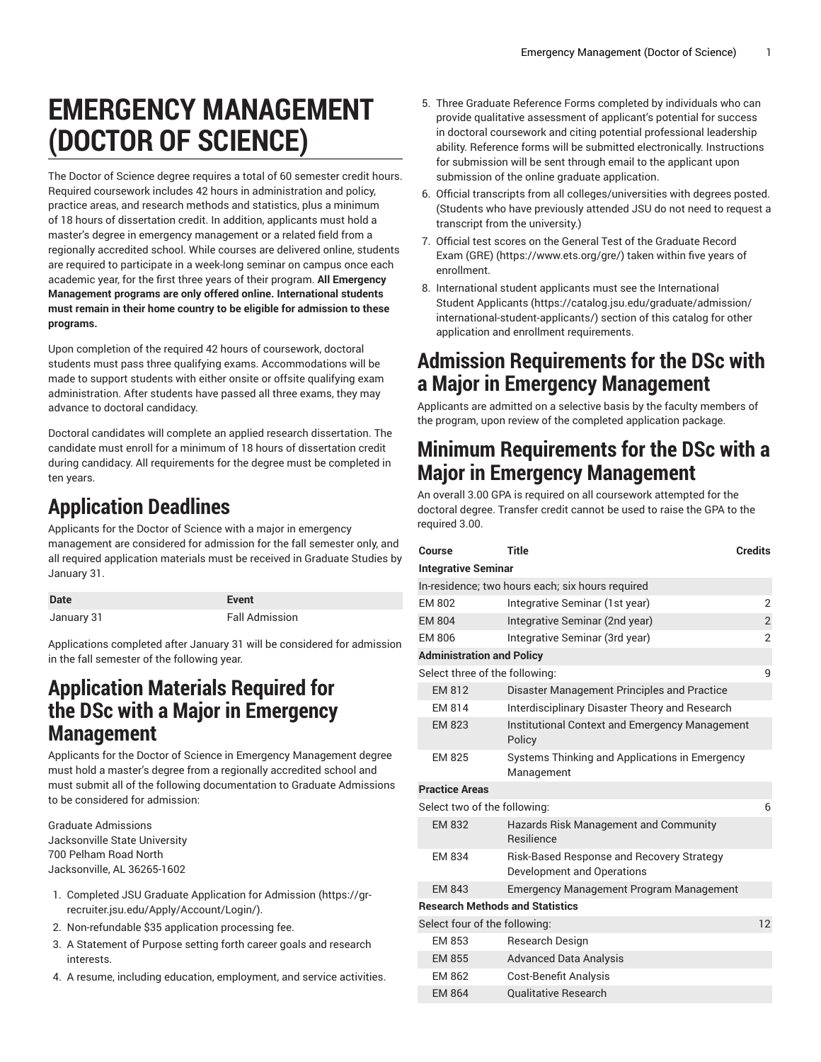# **EMERGENCY MANAGEMENT (DOCTOR OF SCIENCE)**

The Doctor of Science degree requires a total of 60 semester credit hours. Required coursework includes 42 hours in administration and policy, practice areas, and research methods and statistics, plus a minimum of 18 hours of dissertation credit. In addition, applicants must hold a master's degree in emergency management or a related field from a regionally accredited school. While courses are delivered online, students are required to participate in a week-long seminar on campus once each academic year, for the first three years of their program. **All Emergency Management programs are only offered online. International students must remain in their home country to be eligible for admission to these programs.**

Upon completion of the required 42 hours of coursework, doctoral students must pass three qualifying exams. Accommodations will be made to support students with either onsite or offsite qualifying exam administration. After students have passed all three exams, they may advance to doctoral candidacy.

Doctoral candidates will complete an applied research dissertation. The candidate must enroll for a minimum of 18 hours of dissertation credit during candidacy. All requirements for the degree must be completed in ten years.

### **Application Deadlines**

Applicants for the Doctor of Science with a major in emergency management are considered for admission for the fall semester only, and all required application materials must be received in Graduate Studies by January 31.

| <b>Date</b> | Event                 |
|-------------|-----------------------|
| January 31  | <b>Fall Admission</b> |

Applications completed after January 31 will be considered for admission in the fall semester of the following year.

#### **Application Materials Required for the DSc with a Major in Emergency Management**

Applicants for the Doctor of Science in Emergency Management degree must hold a master's degree from a regionally accredited school and must submit all of the following documentation to Graduate Admissions to be considered for admission:

Graduate Admissions Jacksonville State University 700 Pelham Road North Jacksonville, AL 36265-1602

- 1. Completed JSU [Graduate Application for Admission \(https://gr](https://gr-recruiter.jsu.edu/Apply/Account/Login/)[recruiter.jsu.edu/Apply/Account/Login/](https://gr-recruiter.jsu.edu/Apply/Account/Login/)).
- 2. Non-refundable \$35 application processing fee.
- 3. A Statement of Purpose setting forth career goals and research interests.
- 4. A resume, including education, employment, and service activities.
- 5. Three Graduate Reference Forms completed by individuals who can provide qualitative assessment of applicant's potential for success in doctoral coursework and citing potential professional leadership ability. Reference forms will be submitted electronically. Instructions for submission will be sent through email to the applicant upon submission of the online graduate application.
- 6. Official transcripts from all colleges/universities with degrees posted. (Students who have previously attended JSU do not need to request a transcript from the university.)
- 7. Official test scores on the General Test of the [Graduate](https://www.ets.org/gre/) Record [Exam \(GRE\)](https://www.ets.org/gre/) (<https://www.ets.org/gre/>) taken within five years of enrollment.
- 8. International student applicants must see the [International](https://catalog.jsu.edu/graduate/admission/international-student-applicants/) [Student Applicants](https://catalog.jsu.edu/graduate/admission/international-student-applicants/) ([https://catalog.jsu.edu/graduate/admission/](https://catalog.jsu.edu/graduate/admission/international-student-applicants/) [international-student-applicants/\)](https://catalog.jsu.edu/graduate/admission/international-student-applicants/) section of this catalog for other application and enrollment requirements.

#### **Admission Requirements for the DSc with a Major in Emergency Management**

Applicants are admitted on a selective basis by the faculty members of the program, upon review of the completed application package.

#### **Minimum Requirements for the DSc with a Major in Emergency Management**

An overall 3.00 GPA is required on all coursework attempted for the doctoral degree. Transfer credit cannot be used to raise the GPA to the required 3.00.

| Course                           | <b>Title</b>                                                            | <b>Credits</b> |
|----------------------------------|-------------------------------------------------------------------------|----------------|
| <b>Integrative Seminar</b>       |                                                                         |                |
|                                  | In-residence; two hours each; six hours required                        |                |
| <b>FM 802</b>                    | Integrative Seminar (1st year)                                          | $\overline{2}$ |
| <b>EM 804</b>                    | Integrative Seminar (2nd year)                                          | $\overline{2}$ |
| EM 806                           | Integrative Seminar (3rd year)                                          | 2              |
| <b>Administration and Policy</b> |                                                                         |                |
| Select three of the following:   |                                                                         | 9              |
| <b>EM 812</b>                    | Disaster Management Principles and Practice                             |                |
| EM 814                           | Interdisciplinary Disaster Theory and Research                          |                |
| <b>EM 823</b>                    | Institutional Context and Emergency Management<br>Policy                |                |
| EM 825                           | Systems Thinking and Applications in Emergency<br>Management            |                |
| <b>Practice Areas</b>            |                                                                         |                |
| Select two of the following:     |                                                                         | 6              |
| EM 832                           | Hazards Risk Management and Community<br><b>Resilience</b>              |                |
| EM 834                           | Risk-Based Response and Recovery Strategy<br>Development and Operations |                |
| <b>EM 843</b>                    | <b>Emergency Management Program Management</b>                          |                |
|                                  | <b>Research Methods and Statistics</b>                                  |                |
| Select four of the following:    |                                                                         | 12             |
| <b>EM 853</b>                    | Research Design                                                         |                |
| <b>EM 855</b>                    | <b>Advanced Data Analysis</b>                                           |                |
| EM 862                           | Cost-Benefit Analysis                                                   |                |
| <b>EM 864</b>                    | <b>Qualitative Research</b>                                             |                |